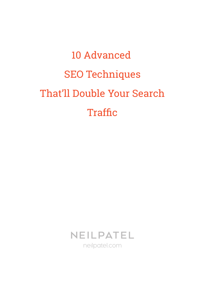# 10 Advanced SEO Techniques That'll Double Your Search **Traffic**

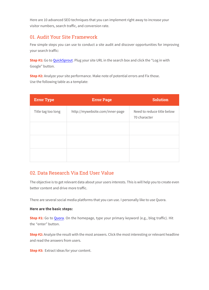Here are 10 advanced SEO techniques that you can implement right away to increase your visitor numbers, search traffic, and conversion rate.

### 01. Audit Your Site Framework

Few simple steps you can use to conduct a site audit and discover opportunities for improving your search traffic:

**Step #1:** Go to QuickSprout. Plug your site URL in the search box and click the "Log in with Google" button.

**Step #2:** Analyze your site performance. Make note of potential errors and Fix those. Use the following table as a template:

| <b>Error Type</b>  | <b>Error Page</b>               | <b>Solution</b>                            |
|--------------------|---------------------------------|--------------------------------------------|
| Title tag too long | http://mywebsite.com/inner-page | Need to reduce title below<br>70 character |
|                    |                                 |                                            |
|                    |                                 |                                            |
|                    |                                 |                                            |

### 02. Data Research Via End User Value

The objective is to get relevant data about your users interests. This is will help you to create even better content and drive more traffic.

There are several social media platforms that you can use. I personally like to use Quora.

#### **Here are the basic steps:**

**Step #1:** Go to Quora. On the homepage, type your primary keyword (e.g., blog traffic). Hit the "enter" button.

**Step #2:** Analyze the result with the most answers. Click the most interesting or relevant headline and read the answers from users.

**Step #3:** Extract ideas for your content.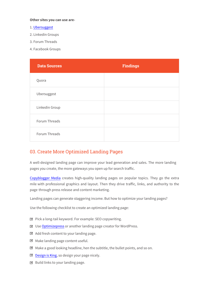#### **Other sites you can use are-**

- 1. Ubersuggest
- 2. Linkedin Groups
- 3. Forum Threads
- 4. Facebook Groups

| <b>Data Sources</b> | <b>Findings</b> |
|---------------------|-----------------|
| Quora               |                 |
| Ubersuggest         |                 |
| Linkedin Group      |                 |
| Forum Threads       |                 |
| Forum Threads       |                 |

#### 03. Create More Optimized Landing Pages

A well-designed landing page can improve your lead generation and sales. The more landing pages you create, the more gateways you open up for search traffic.

Copyblogger Media creates high-quality landing pages on popular topics. They go the extra mile with professional graphics and layout. Then they drive traffic, links, and authority to the page through press release and content marketing.

Landing pages can generate staggering income. But how to optimize your landing pages?

Use the following checklist to create an optimized landing page:

- $\triangleright$  Pick a long-tail keyword. For example: SEO copywriting.
- Use Optimizepress or another landing page creator for WordPress.
- $\boxtimes$  Add fresh content to your landing page.
- $\boxtimes$  Make landing page content useful.
- $\boxtimes$  Make a good looking headline, hen the subtitle, the bullet points, and so on.
- Design is King, so design your page nicely.
- $\boxtimes$  Build links to your landing page.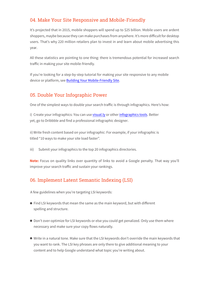## 04. Make Your Site Responsive and Mobile-Friendly

It's projected that in 2015, mobile shoppers will spend up to \$25 billion. Mobile users are ardent shoppers, maybe because they can make purchases from anywhere. It's more difficult for desktop users. That's why 220 million retailers plan to invest in and learn about mobile advertising this year.

All these statistics are pointing to one thing: there is tremendous potential for increased search traffic in making your site mobile-friendly.

If you're looking for a step-by-step tutorial for making your site responsive to any mobile device or platform, see Building Your Mobile-Friendly Site.

### 05. Double Your Infographic Power

One of the simplest ways to double your search traffic is through infographics. Here's how:

i) Create your infographics: You can use visual.ly or other infographics tools. Better yet, go to Dribbble and find a professional infographic designer.

ii) Write fresh content based on your infographic: For example, if your infographic is titled "10 ways to make your site load faster".

iii) Submit your infographics to the top 20 infographics directories.

**Note:** Focus on quality links over quantity of links to avoid a Google penalty. That way you'll improve your search traffic and sustain your rankings.

# 06. Implement Latent Semantic Indexing (LSI)

A few guidelines when you're targeting LSI keywords:

- $\bullet$  Find LSI keywords that mean the same as the main keyword, but with different spelling and structure.
- $\bullet$  Don't over-optimize for LSI keywords or else you could get penalized. Only use them where necessary and make sure your copy flows naturally.
- Write in a natural tone. Make sure that the LSI keywords don't override the main keywords that you want to rank. The LSI key phrases are only there to give additional meaning to your content and to help Google understand what topic you're writing about.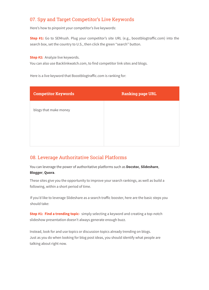## 07. Spy and Target Competitor's Live Keywords

Here's how to pinpoint your competitor's live keywords:

**Step #1:** Go to SEMrush. Plug your competitor's site URL (e.g., boostblogtraffic.com) into the search box, set the country to U.S., then click the green "search" button.

**Step #2:** Analyze live keywords.

You can also use Backlinkwatch.com, to find competitor link sites and blogs.

Here is a live keyword that Boostblogtraffic.com is ranking for:

| <b>Competitor Keywords</b> | <b>Ranking page URL</b> |
|----------------------------|-------------------------|
| blogs that make money      |                         |
|                            |                         |
|                            |                         |

### 08. Leverage Authoritative Social Platforms

You can leverage the power of authoritative platforms such as **Docstoc**, **Slideshare**, **Blogger**, **Quora**.

These sites give you the opportunity to improve your search rankings, as well as build a following, within a short period of time.

If you'd like to leverage Slideshare as a search traffic booster, here are the basic steps you should take:

**Step #1: Find a trending topic-** simply selecting a keyword and creating a top-notch slideshow presentation doesn't always generate enough buzz.

Instead, look for and use topics or discussion topics already trending on blogs. Just as you do when looking for blog post ideas, you should identify what people are talking about right now.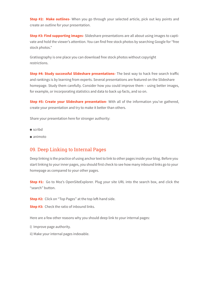**Step #2: Make outlines-** When you go through your selected article, pick out key points and create an outline for your presentation.

**Step #3: Find supporting images-** Slideshare presentations are all about using images to captivate and hold the viewer's attention. You can find free stock photos by searching Google for "free stock photos."

Gratisography is one place you can download free stock photos without copyright restrictions.

**Step #4: Study successful Slideshare presentations-** The best way to hack free search traffic and rankings is by learning from experts. Several presentations are featured on the Slideshare homepage. Study them carefully. Consider how you could improve them – using better images, for example, or incorporating statistics and data to back up facts, and so on.

**Step #5: Create your Slideshare presentation-** With all of the information you've gathered, create your presentation and try to make it better than others.

Share your presentation here for stronger authority:

- scribd
- $\bullet$  animoto

#### 09. Deep Linking to Internal Pages

Deep linking is the practice of using anchor text to link to other pages inside your blog. Before you start linking to your inner pages, you should first check to see how many inbound links go to your homepage as compared to your other pages.

**Step #1:** Go to Moz's OpenSiteExplorer. Plug your site URL into the search box, and click the "search" button.

**Step #2:** Click on "Top Pages" at the top left-hand side.

**Step #3:** Check the ratio of inbound links.

Here are a few other reasons why you should deep link to your internal pages:

- i) Improve page authority.
- ii) Make your internal pages indexable.